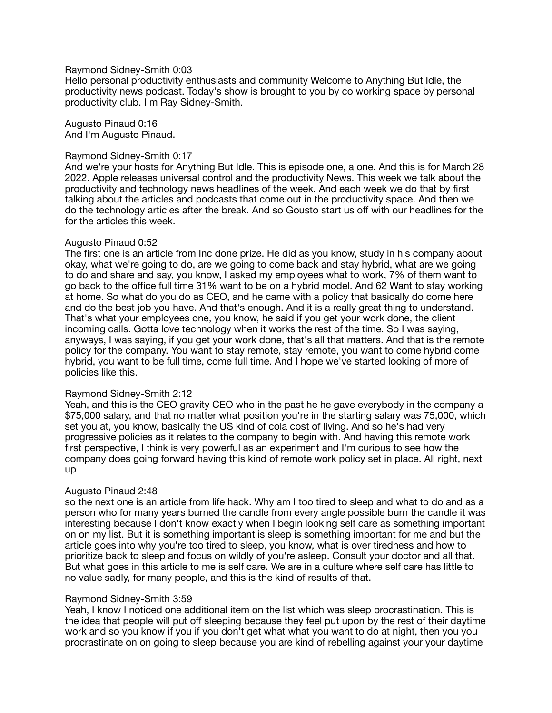### Raymond Sidney-Smith 0:03

Hello personal productivity enthusiasts and community Welcome to Anything But Idle, the productivity news podcast. Today's show is brought to you by co working space by personal productivity club. I'm Ray Sidney-Smith.

Augusto Pinaud 0:16 And I'm Augusto Pinaud.

#### Raymond Sidney-Smith 0:17

And we're your hosts for Anything But Idle. This is episode one, a one. And this is for March 28 2022. Apple releases universal control and the productivity News. This week we talk about the productivity and technology news headlines of the week. And each week we do that by first talking about the articles and podcasts that come out in the productivity space. And then we do the technology articles after the break. And so Gousto start us off with our headlines for the for the articles this week.

### Augusto Pinaud 0:52

The first one is an article from Inc done prize. He did as you know, study in his company about okay, what we're going to do, are we going to come back and stay hybrid, what are we going to do and share and say, you know, I asked my employees what to work, 7% of them want to go back to the office full time 31% want to be on a hybrid model. And 62 Want to stay working at home. So what do you do as CEO, and he came with a policy that basically do come here and do the best job you have. And that's enough. And it is a really great thing to understand. That's what your employees one, you know, he said if you get your work done, the client incoming calls. Gotta love technology when it works the rest of the time. So I was saying, anyways, I was saying, if you get your work done, that's all that matters. And that is the remote policy for the company. You want to stay remote, stay remote, you want to come hybrid come hybrid, you want to be full time, come full time. And I hope we've started looking of more of policies like this.

## Raymond Sidney-Smith 2:12

Yeah, and this is the CEO gravity CEO who in the past he he gave everybody in the company a \$75,000 salary, and that no matter what position you're in the starting salary was 75,000, which set you at, you know, basically the US kind of cola cost of living. And so he's had very progressive policies as it relates to the company to begin with. And having this remote work first perspective, I think is very powerful as an experiment and I'm curious to see how the company does going forward having this kind of remote work policy set in place. All right, next up

## Augusto Pinaud 2:48

so the next one is an article from life hack. Why am I too tired to sleep and what to do and as a person who for many years burned the candle from every angle possible burn the candle it was interesting because I don't know exactly when I begin looking self care as something important on on my list. But it is something important is sleep is something important for me and but the article goes into why you're too tired to sleep, you know, what is over tiredness and how to prioritize back to sleep and focus on wildly of you're asleep. Consult your doctor and all that. But what goes in this article to me is self care. We are in a culture where self care has little to no value sadly, for many people, and this is the kind of results of that.

## Raymond Sidney-Smith 3:59

Yeah. I know I noticed one additional item on the list which was sleep procrastination. This is the idea that people will put off sleeping because they feel put upon by the rest of their daytime work and so you know if you if you don't get what what you want to do at night, then you you procrastinate on on going to sleep because you are kind of rebelling against your your daytime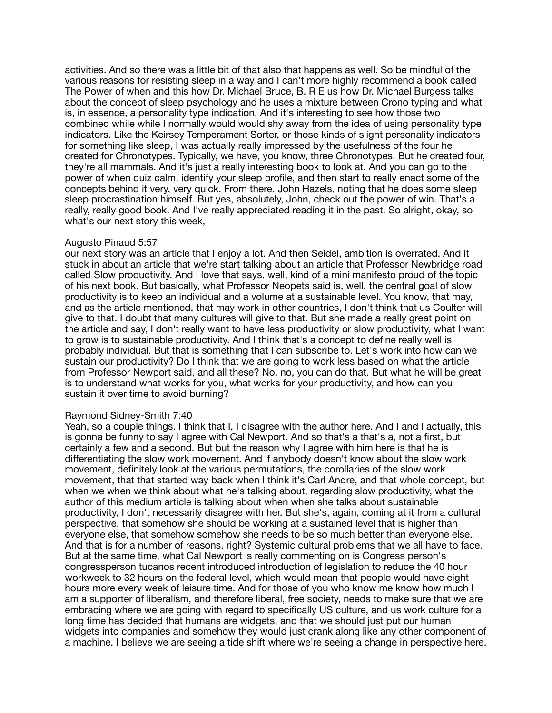activities. And so there was a little bit of that also that happens as well. So be mindful of the various reasons for resisting sleep in a way and I can't more highly recommend a book called The Power of when and this how Dr. Michael Bruce, B. R E us how Dr. Michael Burgess talks about the concept of sleep psychology and he uses a mixture between Crono typing and what is, in essence, a personality type indication. And it's interesting to see how those two combined while while I normally would would shy away from the idea of using personality type indicators. Like the Keirsey Temperament Sorter, or those kinds of slight personality indicators for something like sleep, I was actually really impressed by the usefulness of the four he created for Chronotypes. Typically, we have, you know, three Chronotypes. But he created four, they're all mammals. And it's just a really interesting book to look at. And you can go to the power of when quiz calm, identify your sleep profile, and then start to really enact some of the concepts behind it very, very quick. From there, John Hazels, noting that he does some sleep sleep procrastination himself. But yes, absolutely, John, check out the power of win. That's a really, really good book. And I've really appreciated reading it in the past. So alright, okay, so what's our next story this week,

### Augusto Pinaud 5:57

our next story was an article that I enjoy a lot. And then Seidel, ambition is overrated. And it stuck in about an article that we're start talking about an article that Professor Newbridge road called Slow productivity. And I love that says, well, kind of a mini manifesto proud of the topic of his next book. But basically, what Professor Neopets said is, well, the central goal of slow productivity is to keep an individual and a volume at a sustainable level. You know, that may, and as the article mentioned, that may work in other countries, I don't think that us Coulter will give to that. I doubt that many cultures will give to that. But she made a really great point on the article and say, I don't really want to have less productivity or slow productivity, what I want to grow is to sustainable productivity. And I think that's a concept to define really well is probably individual. But that is something that I can subscribe to. Let's work into how can we sustain our productivity? Do I think that we are going to work less based on what the article from Professor Newport said, and all these? No, no, you can do that. But what he will be great is to understand what works for you, what works for your productivity, and how can you sustain it over time to avoid burning?

#### Raymond Sidney-Smith 7:40

Yeah, so a couple things. I think that I, I disagree with the author here. And I and I actually, this is gonna be funny to say I agree with Cal Newport. And so that's a that's a, not a first, but certainly a few and a second. But but the reason why I agree with him here is that he is differentiating the slow work movement. And if anybody doesn't know about the slow work movement, definitely look at the various permutations, the corollaries of the slow work movement, that that started way back when I think it's Carl Andre, and that whole concept, but when we when we think about what he's talking about, regarding slow productivity, what the author of this medium article is talking about when when she talks about sustainable productivity, I don't necessarily disagree with her. But she's, again, coming at it from a cultural perspective, that somehow she should be working at a sustained level that is higher than everyone else, that somehow somehow she needs to be so much better than everyone else. And that is for a number of reasons, right? Systemic cultural problems that we all have to face. But at the same time, what Cal Newport is really commenting on is Congress person's congressperson tucanos recent introduced introduction of legislation to reduce the 40 hour workweek to 32 hours on the federal level, which would mean that people would have eight hours more every week of leisure time. And for those of you who know me know how much I am a supporter of liberalism, and therefore liberal, free society, needs to make sure that we are embracing where we are going with regard to specifically US culture, and us work culture for a long time has decided that humans are widgets, and that we should just put our human widgets into companies and somehow they would just crank along like any other component of a machine. I believe we are seeing a tide shift where we're seeing a change in perspective here.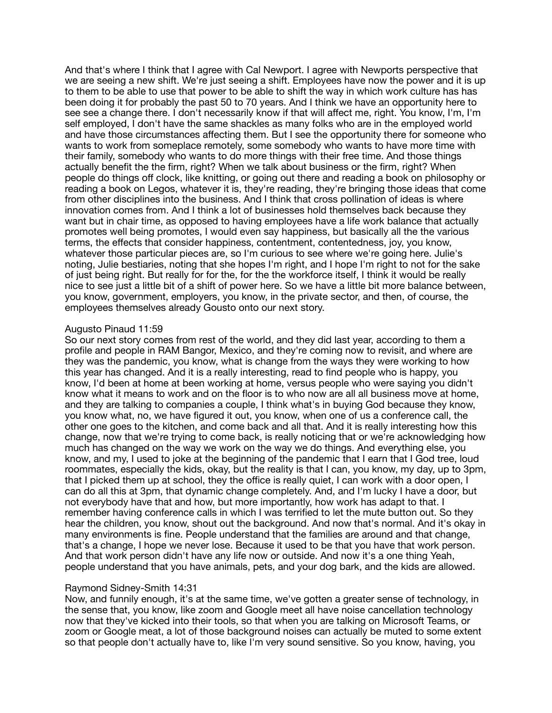And that's where I think that I agree with Cal Newport. I agree with Newports perspective that we are seeing a new shift. We're just seeing a shift. Employees have now the power and it is up to them to be able to use that power to be able to shift the way in which work culture has has been doing it for probably the past 50 to 70 years. And I think we have an opportunity here to see see a change there. I don't necessarily know if that will affect me, right. You know, I'm, I'm self employed, I don't have the same shackles as many folks who are in the employed world and have those circumstances affecting them. But I see the opportunity there for someone who wants to work from someplace remotely, some somebody who wants to have more time with their family, somebody who wants to do more things with their free time. And those things actually benefit the the firm, right? When we talk about business or the firm, right? When people do things off clock, like knitting, or going out there and reading a book on philosophy or reading a book on Legos, whatever it is, they're reading, they're bringing those ideas that come from other disciplines into the business. And I think that cross pollination of ideas is where innovation comes from. And I think a lot of businesses hold themselves back because they want but in chair time, as opposed to having employees have a life work balance that actually promotes well being promotes, I would even say happiness, but basically all the the various terms, the effects that consider happiness, contentment, contentedness, joy, you know, whatever those particular pieces are, so I'm curious to see where we're going here. Julie's noting, Julie bestiaries, noting that she hopes I'm right, and I hope I'm right to not for the sake of just being right. But really for for the, for the the workforce itself, I think it would be really nice to see just a little bit of a shift of power here. So we have a little bit more balance between, you know, government, employers, you know, in the private sector, and then, of course, the employees themselves already Gousto onto our next story.

# Augusto Pinaud 11:59

So our next story comes from rest of the world, and they did last year, according to them a profile and people in RAM Bangor, Mexico, and they're coming now to revisit, and where are they was the pandemic, you know, what is change from the ways they were working to how this year has changed. And it is a really interesting, read to find people who is happy, you know, I'd been at home at been working at home, versus people who were saying you didn't know what it means to work and on the floor is to who now are all all business move at home, and they are talking to companies a couple, I think what's in buying God because they know, you know what, no, we have figured it out, you know, when one of us a conference call, the other one goes to the kitchen, and come back and all that. And it is really interesting how this change, now that we're trying to come back, is really noticing that or we're acknowledging how much has changed on the way we work on the way we do things. And everything else, you know, and my, I used to joke at the beginning of the pandemic that I earn that I God tree, loud roommates, especially the kids, okay, but the reality is that I can, you know, my day, up to 3pm, that I picked them up at school, they the office is really quiet, I can work with a door open, I can do all this at 3pm, that dynamic change completely. And, and I'm lucky I have a door, but not everybody have that and how, but more importantly, how work has adapt to that. I remember having conference calls in which I was terrified to let the mute button out. So they hear the children, you know, shout out the background. And now that's normal. And it's okay in many environments is fine. People understand that the families are around and that change, that's a change, I hope we never lose. Because it used to be that you have that work person. And that work person didn't have any life now or outside. And now it's a one thing Yeah, people understand that you have animals, pets, and your dog bark, and the kids are allowed.

#### Raymond Sidney-Smith 14:31

Now, and funnily enough, it's at the same time, we've gotten a greater sense of technology, in the sense that, you know, like zoom and Google meet all have noise cancellation technology now that they've kicked into their tools, so that when you are talking on Microsoft Teams, or zoom or Google meat, a lot of those background noises can actually be muted to some extent so that people don't actually have to, like I'm very sound sensitive. So you know, having, you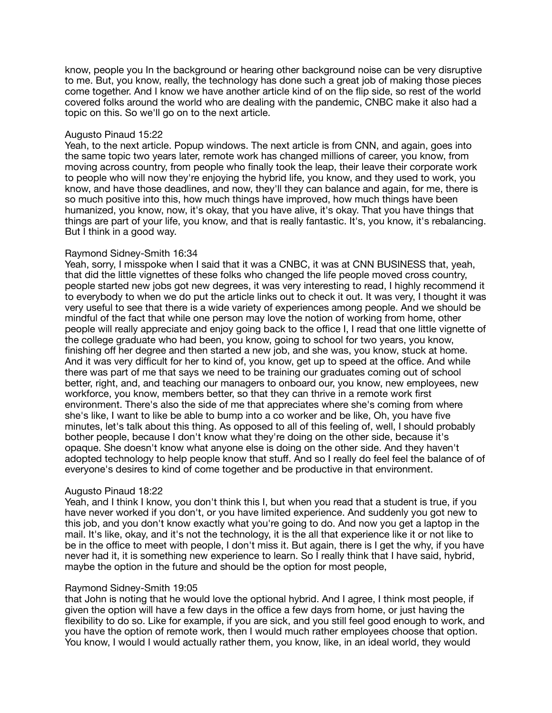know, people you In the background or hearing other background noise can be very disruptive to me. But, you know, really, the technology has done such a great job of making those pieces come together. And I know we have another article kind of on the flip side, so rest of the world covered folks around the world who are dealing with the pandemic, CNBC make it also had a topic on this. So we'll go on to the next article.

### Augusto Pinaud 15:22

Yeah, to the next article. Popup windows. The next article is from CNN, and again, goes into the same topic two years later, remote work has changed millions of career, you know, from moving across country, from people who finally took the leap, their leave their corporate work to people who will now they're enjoying the hybrid life, you know, and they used to work, you know, and have those deadlines, and now, they'll they can balance and again, for me, there is so much positive into this, how much things have improved, how much things have been humanized, you know, now, it's okay, that you have alive, it's okay. That you have things that things are part of your life, you know, and that is really fantastic. It's, you know, it's rebalancing. But I think in a good way.

## Raymond Sidney-Smith 16:34

Yeah, sorry, I misspoke when I said that it was a CNBC, it was at CNN BUSINESS that, yeah, that did the little vignettes of these folks who changed the life people moved cross country, people started new jobs got new degrees, it was very interesting to read, I highly recommend it to everybody to when we do put the article links out to check it out. It was very, I thought it was very useful to see that there is a wide variety of experiences among people. And we should be mindful of the fact that while one person may love the notion of working from home, other people will really appreciate and enjoy going back to the office I, I read that one little vignette of the college graduate who had been, you know, going to school for two years, you know, finishing off her degree and then started a new job, and she was, you know, stuck at home. And it was very difficult for her to kind of, you know, get up to speed at the office. And while there was part of me that says we need to be training our graduates coming out of school better, right, and, and teaching our managers to onboard our, you know, new employees, new workforce, you know, members better, so that they can thrive in a remote work first environment. There's also the side of me that appreciates where she's coming from where she's like, I want to like be able to bump into a co worker and be like, Oh, you have five minutes, let's talk about this thing. As opposed to all of this feeling of, well, I should probably bother people, because I don't know what they're doing on the other side, because it's opaque. She doesn't know what anyone else is doing on the other side. And they haven't adopted technology to help people know that stuff. And so I really do feel feel the balance of of everyone's desires to kind of come together and be productive in that environment.

## Augusto Pinaud 18:22

Yeah, and I think I know, you don't think this I, but when you read that a student is true, if you have never worked if you don't, or you have limited experience. And suddenly you got new to this job, and you don't know exactly what you're going to do. And now you get a laptop in the mail. It's like, okay, and it's not the technology, it is the all that experience like it or not like to be in the office to meet with people, I don't miss it. But again, there is I get the why, if you have never had it, it is something new experience to learn. So I really think that I have said, hybrid, maybe the option in the future and should be the option for most people,

## Raymond Sidney-Smith 19:05

that John is noting that he would love the optional hybrid. And I agree, I think most people, if given the option will have a few days in the office a few days from home, or just having the flexibility to do so. Like for example, if you are sick, and you still feel good enough to work, and you have the option of remote work, then I would much rather employees choose that option. You know, I would I would actually rather them, you know, like, in an ideal world, they would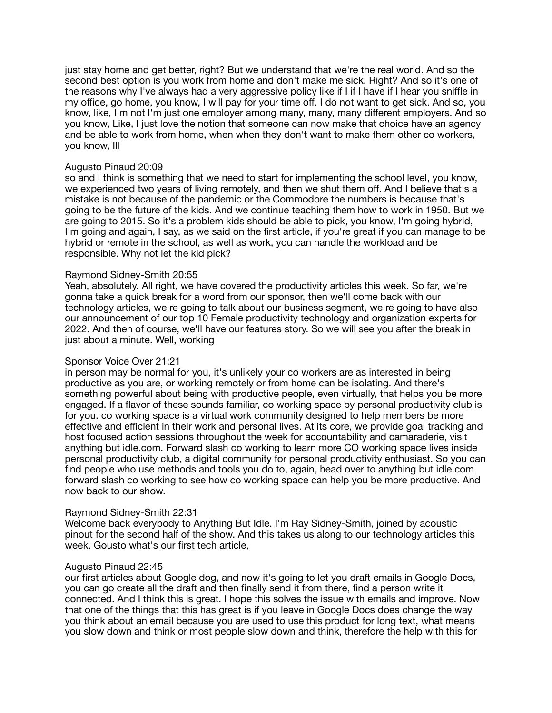just stay home and get better, right? But we understand that we're the real world. And so the second best option is you work from home and don't make me sick. Right? And so it's one of the reasons why I've always had a very aggressive policy like if I if I have if I hear you sniffle in my office, go home, you know, I will pay for your time off. I do not want to get sick. And so, you know, like, I'm not I'm just one employer among many, many, many different employers. And so you know, Like, I just love the notion that someone can now make that choice have an agency and be able to work from home, when when they don't want to make them other co workers, you know, Ill

### Augusto Pinaud 20:09

so and I think is something that we need to start for implementing the school level, you know, we experienced two years of living remotely, and then we shut them off. And I believe that's a mistake is not because of the pandemic or the Commodore the numbers is because that's going to be the future of the kids. And we continue teaching them how to work in 1950. But we are going to 2015. So it's a problem kids should be able to pick, you know, I'm going hybrid, I'm going and again, I say, as we said on the first article, if you're great if you can manage to be hybrid or remote in the school, as well as work, you can handle the workload and be responsible. Why not let the kid pick?

## Raymond Sidney-Smith 20:55

Yeah, absolutely. All right, we have covered the productivity articles this week. So far, we're gonna take a quick break for a word from our sponsor, then we'll come back with our technology articles, we're going to talk about our business segment, we're going to have also our announcement of our top 10 Female productivity technology and organization experts for 2022. And then of course, we'll have our features story. So we will see you after the break in just about a minute. Well, working

## Sponsor Voice Over 21:21

in person may be normal for you, it's unlikely your co workers are as interested in being productive as you are, or working remotely or from home can be isolating. And there's something powerful about being with productive people, even virtually, that helps you be more engaged. If a flavor of these sounds familiar, co working space by personal productivity club is for you. co working space is a virtual work community designed to help members be more effective and efficient in their work and personal lives. At its core, we provide goal tracking and host focused action sessions throughout the week for accountability and camaraderie, visit anything but idle.com. Forward slash co working to learn more CO working space lives inside personal productivity club, a digital community for personal productivity enthusiast. So you can find people who use methods and tools you do to, again, head over to anything but idle.com forward slash co working to see how co working space can help you be more productive. And now back to our show.

## Raymond Sidney-Smith 22:31

Welcome back everybody to Anything But Idle. I'm Ray Sidney-Smith, joined by acoustic pinout for the second half of the show. And this takes us along to our technology articles this week. Gousto what's our first tech article,

#### Augusto Pinaud 22:45

our first articles about Google dog, and now it's going to let you draft emails in Google Docs, you can go create all the draft and then finally send it from there, find a person write it connected. And I think this is great. I hope this solves the issue with emails and improve. Now that one of the things that this has great is if you leave in Google Docs does change the way you think about an email because you are used to use this product for long text, what means you slow down and think or most people slow down and think, therefore the help with this for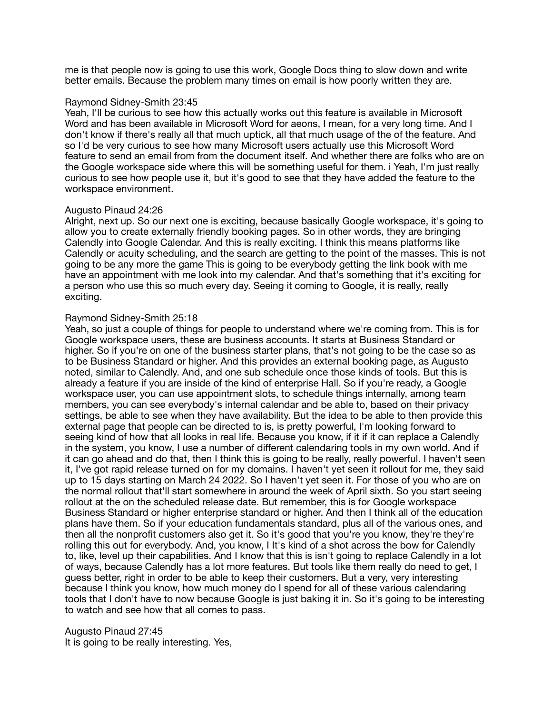me is that people now is going to use this work, Google Docs thing to slow down and write better emails. Because the problem many times on email is how poorly written they are.

### Raymond Sidney-Smith 23:45

Yeah, I'll be curious to see how this actually works out this feature is available in Microsoft Word and has been available in Microsoft Word for aeons, I mean, for a very long time. And I don't know if there's really all that much uptick, all that much usage of the of the feature. And so I'd be very curious to see how many Microsoft users actually use this Microsoft Word feature to send an email from from the document itself. And whether there are folks who are on the Google workspace side where this will be something useful for them. i Yeah, I'm just really curious to see how people use it, but it's good to see that they have added the feature to the workspace environment.

## Augusto Pinaud 24:26

Alright, next up. So our next one is exciting, because basically Google workspace, it's going to allow you to create externally friendly booking pages. So in other words, they are bringing Calendly into Google Calendar. And this is really exciting. I think this means platforms like Calendly or acuity scheduling, and the search are getting to the point of the masses. This is not going to be any more the game This is going to be everybody getting the link book with me have an appointment with me look into my calendar. And that's something that it's exciting for a person who use this so much every day. Seeing it coming to Google, it is really, really exciting.

### Raymond Sidney-Smith 25:18

Yeah, so just a couple of things for people to understand where we're coming from. This is for Google workspace users, these are business accounts. It starts at Business Standard or higher. So if you're on one of the business starter plans, that's not going to be the case so as to be Business Standard or higher. And this provides an external booking page, as Augusto noted, similar to Calendly. And, and one sub schedule once those kinds of tools. But this is already a feature if you are inside of the kind of enterprise Hall. So if you're ready, a Google workspace user, you can use appointment slots, to schedule things internally, among team members, you can see everybody's internal calendar and be able to, based on their privacy settings, be able to see when they have availability. But the idea to be able to then provide this external page that people can be directed to is, is pretty powerful, I'm looking forward to seeing kind of how that all looks in real life. Because you know, if it if it can replace a Calendly in the system, you know, I use a number of different calendaring tools in my own world. And if it can go ahead and do that, then I think this is going to be really, really powerful. I haven't seen it, I've got rapid release turned on for my domains. I haven't yet seen it rollout for me, they said up to 15 days starting on March 24 2022. So I haven't yet seen it. For those of you who are on the normal rollout that'll start somewhere in around the week of April sixth. So you start seeing rollout at the on the scheduled release date. But remember, this is for Google workspace Business Standard or higher enterprise standard or higher. And then I think all of the education plans have them. So if your education fundamentals standard, plus all of the various ones, and then all the nonprofit customers also get it. So it's good that you're you know, they're they're rolling this out for everybody. And, you know, I It's kind of a shot across the bow for Calendly to, like, level up their capabilities. And I know that this is isn't going to replace Calendly in a lot of ways, because Calendly has a lot more features. But tools like them really do need to get, I guess better, right in order to be able to keep their customers. But a very, very interesting because I think you know, how much money do I spend for all of these various calendaring tools that I don't have to now because Google is just baking it in. So it's going to be interesting to watch and see how that all comes to pass.

Augusto Pinaud 27:45 It is going to be really interesting. Yes,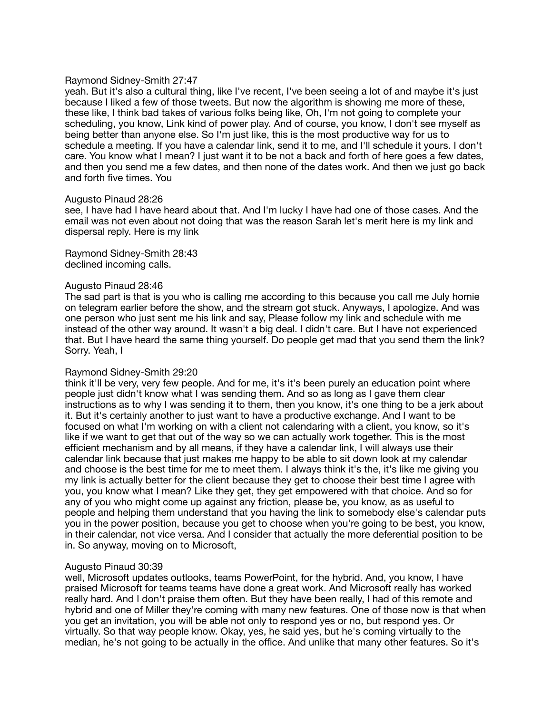#### Raymond Sidney-Smith 27:47

yeah. But it's also a cultural thing, like I've recent, I've been seeing a lot of and maybe it's just because I liked a few of those tweets. But now the algorithm is showing me more of these, these like, I think bad takes of various folks being like, Oh, I'm not going to complete your scheduling, you know, Link kind of power play. And of course, you know, I don't see myself as being better than anyone else. So I'm just like, this is the most productive way for us to schedule a meeting. If you have a calendar link, send it to me, and I'll schedule it yours. I don't care. You know what I mean? I just want it to be not a back and forth of here goes a few dates, and then you send me a few dates, and then none of the dates work. And then we just go back and forth five times. You

#### Augusto Pinaud 28:26

see, I have had I have heard about that. And I'm lucky I have had one of those cases. And the email was not even about not doing that was the reason Sarah let's merit here is my link and dispersal reply. Here is my link

Raymond Sidney-Smith 28:43 declined incoming calls.

### Augusto Pinaud 28:46

The sad part is that is you who is calling me according to this because you call me July homie on telegram earlier before the show, and the stream got stuck. Anyways, I apologize. And was one person who just sent me his link and say, Please follow my link and schedule with me instead of the other way around. It wasn't a big deal. I didn't care. But I have not experienced that. But I have heard the same thing yourself. Do people get mad that you send them the link? Sorry. Yeah, I

## Raymond Sidney-Smith 29:20

think it'll be very, very few people. And for me, it's it's been purely an education point where people just didn't know what I was sending them. And so as long as I gave them clear instructions as to why I was sending it to them, then you know, it's one thing to be a jerk about it. But it's certainly another to just want to have a productive exchange. And I want to be focused on what I'm working on with a client not calendaring with a client, you know, so it's like if we want to get that out of the way so we can actually work together. This is the most efficient mechanism and by all means, if they have a calendar link, I will always use their calendar link because that just makes me happy to be able to sit down look at my calendar and choose is the best time for me to meet them. I always think it's the, it's like me giving you my link is actually better for the client because they get to choose their best time I agree with you, you know what I mean? Like they get, they get empowered with that choice. And so for any of you who might come up against any friction, please be, you know, as as useful to people and helping them understand that you having the link to somebody else's calendar puts you in the power position, because you get to choose when you're going to be best, you know, in their calendar, not vice versa. And I consider that actually the more deferential position to be in. So anyway, moving on to Microsoft,

## Augusto Pinaud 30:39

well, Microsoft updates outlooks, teams PowerPoint, for the hybrid. And, you know, I have praised Microsoft for teams teams have done a great work. And Microsoft really has worked really hard. And I don't praise them often. But they have been really, I had of this remote and hybrid and one of Miller they're coming with many new features. One of those now is that when you get an invitation, you will be able not only to respond yes or no, but respond yes. Or virtually. So that way people know. Okay, yes, he said yes, but he's coming virtually to the median, he's not going to be actually in the office. And unlike that many other features. So it's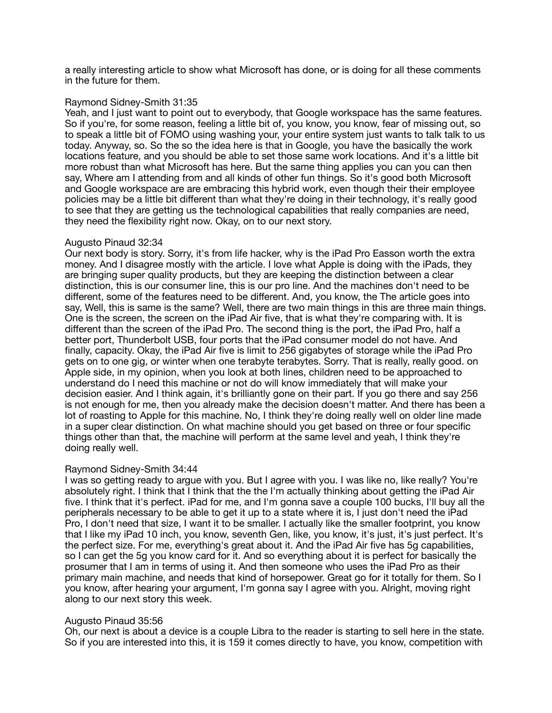a really interesting article to show what Microsoft has done, or is doing for all these comments in the future for them.

### Raymond Sidney-Smith 31:35

Yeah, and I just want to point out to everybody, that Google workspace has the same features. So if you're, for some reason, feeling a little bit of, you know, you know, fear of missing out, so to speak a little bit of FOMO using washing your, your entire system just wants to talk talk to us today. Anyway, so. So the so the idea here is that in Google, you have the basically the work locations feature, and you should be able to set those same work locations. And it's a little bit more robust than what Microsoft has here. But the same thing applies you can you can then say, Where am I attending from and all kinds of other fun things. So it's good both Microsoft and Google workspace are are embracing this hybrid work, even though their their employee policies may be a little bit different than what they're doing in their technology, it's really good to see that they are getting us the technological capabilities that really companies are need, they need the flexibility right now. Okay, on to our next story.

## Augusto Pinaud 32:34

Our next body is story. Sorry, it's from life hacker, why is the iPad Pro Easson worth the extra money. And I disagree mostly with the article. I love what Apple is doing with the iPads, they are bringing super quality products, but they are keeping the distinction between a clear distinction, this is our consumer line, this is our pro line. And the machines don't need to be different, some of the features need to be different. And, you know, the The article goes into say, Well, this is same is the same? Well, there are two main things in this are three main things. One is the screen, the screen on the iPad Air five, that is what they're comparing with. It is different than the screen of the iPad Pro. The second thing is the port, the iPad Pro, half a better port, Thunderbolt USB, four ports that the iPad consumer model do not have. And finally, capacity. Okay, the iPad Air five is limit to 256 gigabytes of storage while the iPad Pro gets on to one gig, or winter when one terabyte terabytes. Sorry. That is really, really good. on Apple side, in my opinion, when you look at both lines, children need to be approached to understand do I need this machine or not do will know immediately that will make your decision easier. And I think again, it's brilliantly gone on their part. If you go there and say 256 is not enough for me, then you already make the decision doesn't matter. And there has been a lot of roasting to Apple for this machine. No, I think they're doing really well on older line made in a super clear distinction. On what machine should you get based on three or four specific things other than that, the machine will perform at the same level and yeah, I think they're doing really well.

## Raymond Sidney-Smith 34:44

I was so getting ready to argue with you. But I agree with you. I was like no, like really? You're absolutely right. I think that I think that the the I'm actually thinking about getting the iPad Air five. I think that it's perfect. iPad for me, and I'm gonna save a couple 100 bucks, I'll buy all the peripherals necessary to be able to get it up to a state where it is, I just don't need the iPad Pro, I don't need that size, I want it to be smaller. I actually like the smaller footprint, you know that I like my iPad 10 inch, you know, seventh Gen, like, you know, it's just, it's just perfect. It's the perfect size. For me, everything's great about it. And the iPad Air five has 5g capabilities, so I can get the 5g you know card for it. And so everything about it is perfect for basically the prosumer that I am in terms of using it. And then someone who uses the iPad Pro as their primary main machine, and needs that kind of horsepower. Great go for it totally for them. So I you know, after hearing your argument, I'm gonna say I agree with you. Alright, moving right along to our next story this week.

### Augusto Pinaud 35:56

Oh, our next is about a device is a couple Libra to the reader is starting to sell here in the state. So if you are interested into this, it is 159 it comes directly to have, you know, competition with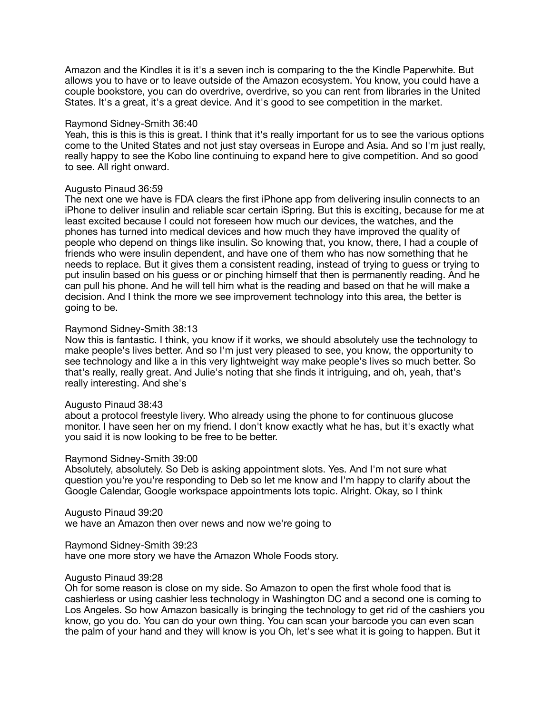Amazon and the Kindles it is it's a seven inch is comparing to the the Kindle Paperwhite. But allows you to have or to leave outside of the Amazon ecosystem. You know, you could have a couple bookstore, you can do overdrive, overdrive, so you can rent from libraries in the United States. It's a great, it's a great device. And it's good to see competition in the market.

#### Raymond Sidney-Smith 36:40

Yeah, this is this is this is great. I think that it's really important for us to see the various options come to the United States and not just stay overseas in Europe and Asia. And so I'm just really, really happy to see the Kobo line continuing to expand here to give competition. And so good to see. All right onward.

### Augusto Pinaud 36:59

The next one we have is FDA clears the first iPhone app from delivering insulin connects to an iPhone to deliver insulin and reliable scar certain iSpring. But this is exciting, because for me at least excited because I could not foreseen how much our devices, the watches, and the phones has turned into medical devices and how much they have improved the quality of people who depend on things like insulin. So knowing that, you know, there, I had a couple of friends who were insulin dependent, and have one of them who has now something that he needs to replace. But it gives them a consistent reading, instead of trying to guess or trying to put insulin based on his guess or or pinching himself that then is permanently reading. And he can pull his phone. And he will tell him what is the reading and based on that he will make a decision. And I think the more we see improvement technology into this area, the better is going to be.

### Raymond Sidney-Smith 38:13

Now this is fantastic. I think, you know if it works, we should absolutely use the technology to make people's lives better. And so I'm just very pleased to see, you know, the opportunity to see technology and like a in this very lightweight way make people's lives so much better. So that's really, really great. And Julie's noting that she finds it intriguing, and oh, yeah, that's really interesting. And she's

## Augusto Pinaud 38:43

about a protocol freestyle livery. Who already using the phone to for continuous glucose monitor. I have seen her on my friend. I don't know exactly what he has, but it's exactly what you said it is now looking to be free to be better.

#### Raymond Sidney-Smith 39:00

Absolutely, absolutely. So Deb is asking appointment slots. Yes. And I'm not sure what question you're you're responding to Deb so let me know and I'm happy to clarify about the Google Calendar, Google workspace appointments lots topic. Alright. Okay, so I think

Augusto Pinaud 39:20

we have an Amazon then over news and now we're going to

Raymond Sidney-Smith 39:23

have one more story we have the Amazon Whole Foods story.

## Augusto Pinaud 39:28

Oh for some reason is close on my side. So Amazon to open the first whole food that is cashierless or using cashier less technology in Washington DC and a second one is coming to Los Angeles. So how Amazon basically is bringing the technology to get rid of the cashiers you know, go you do. You can do your own thing. You can scan your barcode you can even scan the palm of your hand and they will know is you Oh, let's see what it is going to happen. But it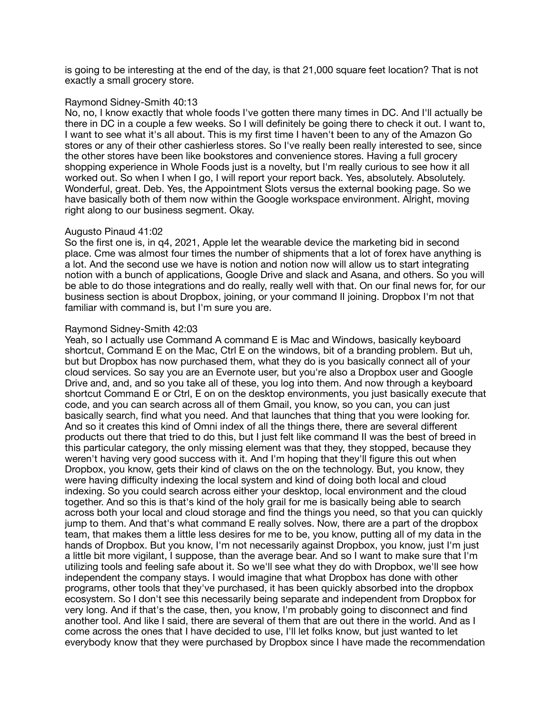is going to be interesting at the end of the day, is that 21,000 square feet location? That is not exactly a small grocery store.

### Raymond Sidney-Smith 40:13

No, no, I know exactly that whole foods I've gotten there many times in DC. And I'll actually be there in DC in a couple a few weeks. So I will definitely be going there to check it out. I want to, I want to see what it's all about. This is my first time I haven't been to any of the Amazon Go stores or any of their other cashierless stores. So I've really been really interested to see, since the other stores have been like bookstores and convenience stores. Having a full grocery shopping experience in Whole Foods just is a novelty, but I'm really curious to see how it all worked out. So when I when I go, I will report your report back. Yes, absolutely. Absolutely. Wonderful, great. Deb. Yes, the Appointment Slots versus the external booking page. So we have basically both of them now within the Google workspace environment. Alright, moving right along to our business segment. Okay.

### Augusto Pinaud 41:02

So the first one is, in q4, 2021, Apple let the wearable device the marketing bid in second place. Cme was almost four times the number of shipments that a lot of forex have anything is a lot. And the second use we have is notion and notion now will allow us to start integrating notion with a bunch of applications, Google Drive and slack and Asana, and others. So you will be able to do those integrations and do really, really well with that. On our final news for, for our business section is about Dropbox, joining, or your command II joining. Dropbox I'm not that familiar with command is, but I'm sure you are.

### Raymond Sidney-Smith 42:03

Yeah, so I actually use Command A command E is Mac and Windows, basically keyboard shortcut, Command E on the Mac, Ctrl E on the windows, bit of a branding problem. But uh, but but Dropbox has now purchased them, what they do is you basically connect all of your cloud services. So say you are an Evernote user, but you're also a Dropbox user and Google Drive and, and, and so you take all of these, you log into them. And now through a keyboard shortcut Command E or Ctrl, E on on the desktop environments, you just basically execute that code, and you can search across all of them Gmail, you know, so you can, you can just basically search, find what you need. And that launches that thing that you were looking for. And so it creates this kind of Omni index of all the things there, there are several different products out there that tried to do this, but I just felt like command II was the best of breed in this particular category, the only missing element was that they, they stopped, because they weren't having very good success with it. And I'm hoping that they'll figure this out when Dropbox, you know, gets their kind of claws on the on the technology. But, you know, they were having difficulty indexing the local system and kind of doing both local and cloud indexing. So you could search across either your desktop, local environment and the cloud together. And so this is that's kind of the holy grail for me is basically being able to search across both your local and cloud storage and find the things you need, so that you can quickly jump to them. And that's what command E really solves. Now, there are a part of the dropbox team, that makes them a little less desires for me to be, you know, putting all of my data in the hands of Dropbox. But you know, I'm not necessarily against Dropbox, you know, just I'm just a little bit more vigilant, I suppose, than the average bear. And so I want to make sure that I'm utilizing tools and feeling safe about it. So we'll see what they do with Dropbox, we'll see how independent the company stays. I would imagine that what Dropbox has done with other programs, other tools that they've purchased, it has been quickly absorbed into the dropbox ecosystem. So I don't see this necessarily being separate and independent from Dropbox for very long. And if that's the case, then, you know, I'm probably going to disconnect and find another tool. And like I said, there are several of them that are out there in the world. And as I come across the ones that I have decided to use, I'll let folks know, but just wanted to let everybody know that they were purchased by Dropbox since I have made the recommendation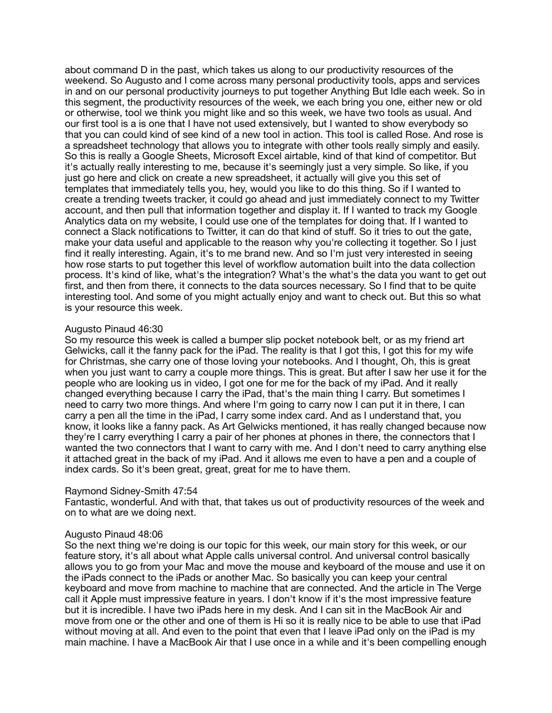about command D in the past, which takes us along to our productivity resources of the weekend. So Augusto and I come across many personal productivity tools, apps and services in and on our personal productivity journeys to put together Anything But Idle each week. So in this segment, the productivity resources of the week, we each bring you one, either new or old or otherwise, tool we think you might like and so this week, we have two tools as usual. And our first tool is a is one that I have not used extensively, but I wanted to show everybody so that you can could kind of see kind of a new tool in action. This tool is called Rose. And rose is a spreadsheet technology that allows you to integrate with other tools really simply and easily. So this is really a Google Sheets, Microsoft Excel airtable, kind of that kind of competitor. But it's actually really interesting to me, because it's seemingly just a very simple. So like, if you just go here and click on create a new spreadsheet, it actually will give you this set of templates that immediately tells you, hey, would you like to do this thing. So if I wanted to create a trending tweets tracker, it could go ahead and just immediately connect to my Twitter account, and then pull that information together and display it. If I wanted to track my Google Analytics data on my website, I could use one of the templates for doing that. If I wanted to connect a Slack notifications to Twitter, it can do that kind of stuff. So it tries to out the gate, make your data useful and applicable to the reason why you're collecting it together. So I just find it really interesting. Again, it's to me brand new. And so I'm just very interested in seeing how rose starts to put together this level of workflow automation built into the data collection process. It's kind of like, what's the integration? What's the what's the data you want to get out first, and then from there, it connects to the data sources necessary. So I find that to be quite interesting tool. And some of you might actually enjoy and want to check out. But this so what is your resource this week.

## Augusto Pinaud 46:30

So my resource this week is called a bumper slip pocket notebook belt, or as my friend art Gelwicks, call it the fanny pack for the iPad. The reality is that I got this, I got this for my wife for Christmas, she carry one of those loving your notebooks. And I thought, Oh, this is great when you just want to carry a couple more things. This is great. But after I saw her use it for the people who are looking us in video, I got one for me for the back of my iPad. And it really changed everything because I carry the iPad, that's the main thing I carry. But sometimes I need to carry two more things. And where I'm going to carry now I can put it in there, I can carry a pen all the time in the iPad, I carry some index card. And as I understand that, you know, it looks like a fanny pack. As Art Gelwicks mentioned, it has really changed because now they're I carry everything I carry a pair of her phones at phones in there, the connectors that I wanted the two connectors that I want to carry with me. And I don't need to carry anything else it attached great in the back of my iPad. And it allows me even to have a pen and a couple of index cards. So it's been great, great, great for me to have them.

#### Raymond Sidney-Smith 47:54

Fantastic, wonderful. And with that, that takes us out of productivity resources of the week and on to what are we doing next.

#### Augusto Pinaud 48:06

So the next thing we're doing is our topic for this week, our main story for this week, or our feature story, it's all about what Apple calls universal control. And universal control basically allows you to go from your Mac and move the mouse and keyboard of the mouse and use it on the iPads connect to the iPads or another Mac. So basically you can keep your central keyboard and move from machine to machine that are connected. And the article in The Verge call it Apple must impressive feature in years. I don't know if it's the most impressive feature but it is incredible. I have two iPads here in my desk. And I can sit in the MacBook Air and move from one or the other and one of them is Hi so it is really nice to be able to use that iPad without moving at all. And even to the point that even that I leave iPad only on the iPad is my main machine. I have a MacBook Air that I use once in a while and it's been compelling enough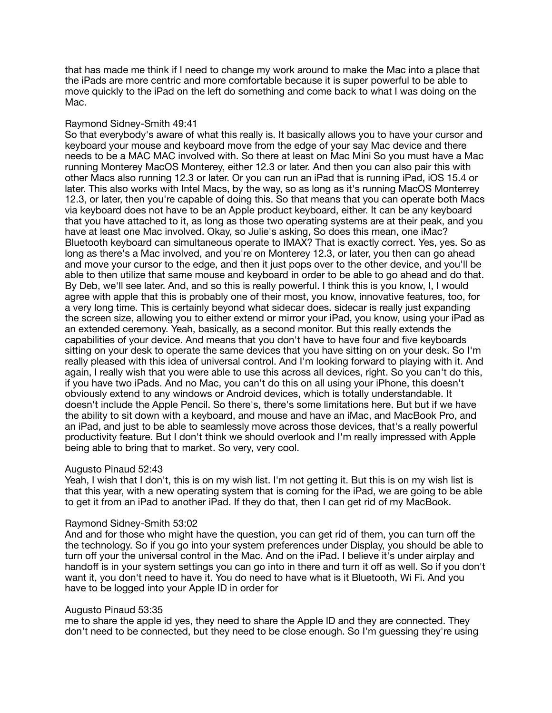that has made me think if I need to change my work around to make the Mac into a place that the iPads are more centric and more comfortable because it is super powerful to be able to move quickly to the iPad on the left do something and come back to what I was doing on the Mac.

## Raymond Sidney-Smith 49:41

So that everybody's aware of what this really is. It basically allows you to have your cursor and keyboard your mouse and keyboard move from the edge of your say Mac device and there needs to be a MAC MAC involved with. So there at least on Mac Mini So you must have a Mac running Monterey MacOS Monterey, either 12.3 or later. And then you can also pair this with other Macs also running 12.3 or later. Or you can run an iPad that is running iPad, iOS 15.4 or later. This also works with Intel Macs, by the way, so as long as it's running MacOS Monterrey 12.3, or later, then you're capable of doing this. So that means that you can operate both Macs via keyboard does not have to be an Apple product keyboard, either. It can be any keyboard that you have attached to it, as long as those two operating systems are at their peak, and you have at least one Mac involved. Okay, so Julie's asking, So does this mean, one iMac? Bluetooth keyboard can simultaneous operate to IMAX? That is exactly correct. Yes, yes. So as long as there's a Mac involved, and you're on Monterey 12.3, or later, you then can go ahead and move your cursor to the edge, and then it just pops over to the other device, and you'll be able to then utilize that same mouse and keyboard in order to be able to go ahead and do that. By Deb, we'll see later. And, and so this is really powerful. I think this is you know, I, I would agree with apple that this is probably one of their most, you know, innovative features, too, for a very long time. This is certainly beyond what sidecar does. sidecar is really just expanding the screen size, allowing you to either extend or mirror your iPad, you know, using your iPad as an extended ceremony. Yeah, basically, as a second monitor. But this really extends the capabilities of your device. And means that you don't have to have four and five keyboards sitting on your desk to operate the same devices that you have sitting on on your desk. So I'm really pleased with this idea of universal control. And I'm looking forward to playing with it. And again, I really wish that you were able to use this across all devices, right. So you can't do this, if you have two iPads. And no Mac, you can't do this on all using your iPhone, this doesn't obviously extend to any windows or Android devices, which is totally understandable. It doesn't include the Apple Pencil. So there's, there's some limitations here. But but if we have the ability to sit down with a keyboard, and mouse and have an iMac, and MacBook Pro, and an iPad, and just to be able to seamlessly move across those devices, that's a really powerful productivity feature. But I don't think we should overlook and I'm really impressed with Apple being able to bring that to market. So very, very cool.

#### Augusto Pinaud 52:43

Yeah, I wish that I don't, this is on my wish list. I'm not getting it. But this is on my wish list is that this year, with a new operating system that is coming for the iPad, we are going to be able to get it from an iPad to another iPad. If they do that, then I can get rid of my MacBook.

#### Raymond Sidney-Smith 53:02

And and for those who might have the question, you can get rid of them, you can turn off the the technology. So if you go into your system preferences under Display, you should be able to turn off your the universal control in the Mac. And on the iPad. I believe it's under airplay and handoff is in your system settings you can go into in there and turn it off as well. So if you don't want it, you don't need to have it. You do need to have what is it Bluetooth, Wi Fi. And you have to be logged into your Apple ID in order for

#### Augusto Pinaud 53:35

me to share the apple id yes, they need to share the Apple ID and they are connected. They don't need to be connected, but they need to be close enough. So I'm guessing they're using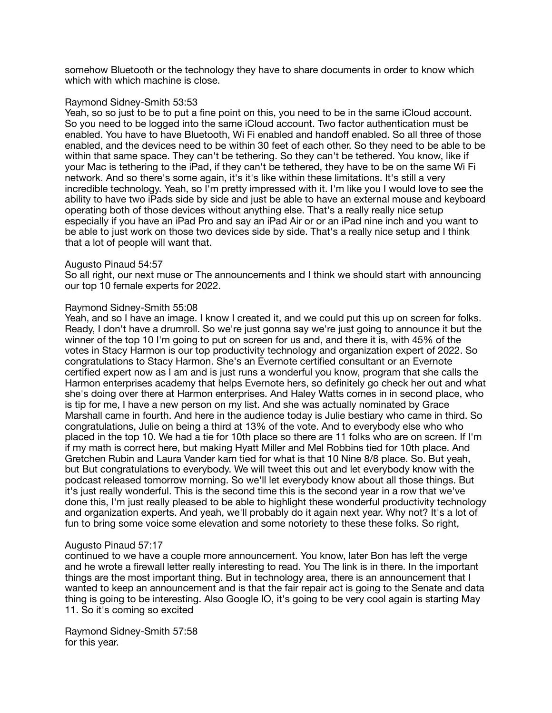somehow Bluetooth or the technology they have to share documents in order to know which which with which machine is close.

### Raymond Sidney-Smith 53:53

Yeah, so so just to be to put a fine point on this, you need to be in the same iCloud account. So you need to be logged into the same iCloud account. Two factor authentication must be enabled. You have to have Bluetooth, Wi Fi enabled and handoff enabled. So all three of those enabled, and the devices need to be within 30 feet of each other. So they need to be able to be within that same space. They can't be tethering. So they can't be tethered. You know, like if your Mac is tethering to the iPad, if they can't be tethered, they have to be on the same Wi Fi network. And so there's some again, it's it's like within these limitations. It's still a very incredible technology. Yeah, so I'm pretty impressed with it. I'm like you I would love to see the ability to have two iPads side by side and just be able to have an external mouse and keyboard operating both of those devices without anything else. That's a really really nice setup especially if you have an iPad Pro and say an iPad Air or or an iPad nine inch and you want to be able to just work on those two devices side by side. That's a really nice setup and I think that a lot of people will want that.

### Augusto Pinaud 54:57

So all right, our next muse or The announcements and I think we should start with announcing our top 10 female experts for 2022.

### Raymond Sidney-Smith 55:08

Yeah, and so I have an image. I know I created it, and we could put this up on screen for folks. Ready, I don't have a drumroll. So we're just gonna say we're just going to announce it but the winner of the top 10 I'm going to put on screen for us and, and there it is, with 45% of the votes in Stacy Harmon is our top productivity technology and organization expert of 2022. So congratulations to Stacy Harmon. She's an Evernote certified consultant or an Evernote certified expert now as I am and is just runs a wonderful you know, program that she calls the Harmon enterprises academy that helps Evernote hers, so definitely go check her out and what she's doing over there at Harmon enterprises. And Haley Watts comes in in second place, who is tip for me, I have a new person on my list. And she was actually nominated by Grace Marshall came in fourth. And here in the audience today is Julie bestiary who came in third. So congratulations, Julie on being a third at 13% of the vote. And to everybody else who who placed in the top 10. We had a tie for 10th place so there are 11 folks who are on screen. If I'm if my math is correct here, but making Hyatt Miller and Mel Robbins tied for 10th place. And Gretchen Rubin and Laura Vander kam tied for what is that 10 Nine 8/8 place. So. But yeah, but But congratulations to everybody. We will tweet this out and let everybody know with the podcast released tomorrow morning. So we'll let everybody know about all those things. But it's just really wonderful. This is the second time this is the second year in a row that we've done this, I'm just really pleased to be able to highlight these wonderful productivity technology and organization experts. And yeah, we'll probably do it again next year. Why not? It's a lot of fun to bring some voice some elevation and some notoriety to these these folks. So right,

## Augusto Pinaud 57:17

continued to we have a couple more announcement. You know, later Bon has left the verge and he wrote a firewall letter really interesting to read. You The link is in there. In the important things are the most important thing. But in technology area, there is an announcement that I wanted to keep an announcement and is that the fair repair act is going to the Senate and data thing is going to be interesting. Also Google IO, it's going to be very cool again is starting May 11. So it's coming so excited

Raymond Sidney-Smith 57:58 for this year.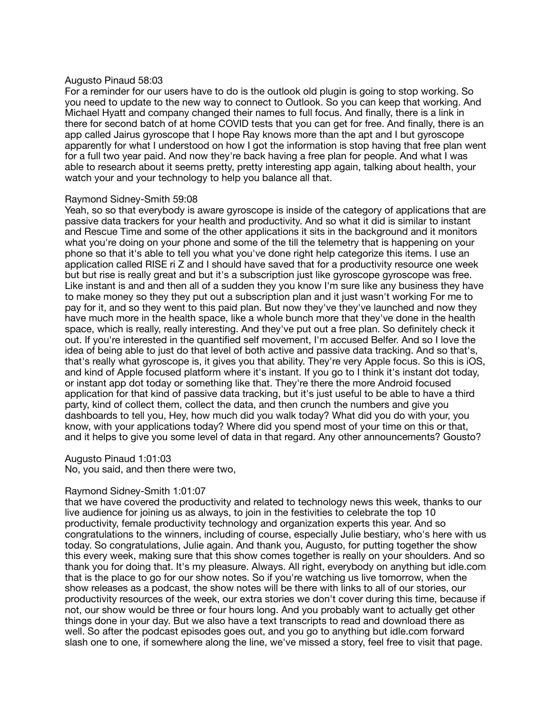#### Augusto Pinaud 58:03

For a reminder for our users have to do is the outlook old plugin is going to stop working. So you need to update to the new way to connect to Outlook. So you can keep that working. And Michael Hyatt and company changed their names to full focus. And finally, there is a link in there for second batch of at home COVID tests that you can get for free. And finally, there is an app called Jairus gyroscope that I hope Ray knows more than the apt and I but gyroscope apparently for what I understood on how I got the information is stop having that free plan went for a full two year paid. And now they're back having a free plan for people. And what I was able to research about it seems pretty, pretty interesting app again, talking about health, your watch your and your technology to help you balance all that.

### Raymond Sidney-Smith 59:08

Yeah, so so that everybody is aware gyroscope is inside of the category of applications that are passive data trackers for your health and productivity. And so what it did is similar to instant and Rescue Time and some of the other applications it sits in the background and it monitors what you're doing on your phone and some of the till the telemetry that is happening on your phone so that it's able to tell you what you've done right help categorize this items. I use an application called RISE ri Z and I should have saved that for a productivity resource one week but but rise is really great and but it's a subscription just like gyroscope gyroscope was free. Like instant is and and then all of a sudden they you know I'm sure like any business they have to make money so they they put out a subscription plan and it just wasn't working For me to pay for it, and so they went to this paid plan. But now they've they've launched and now they have much more in the health space, like a whole bunch more that they've done in the health space, which is really, really interesting. And they've put out a free plan. So definitely check it out. If you're interested in the quantified self movement, I'm accused Belfer. And so I love the idea of being able to just do that level of both active and passive data tracking. And so that's, that's really what gyroscope is, it gives you that ability. They're very Apple focus. So this is iOS, and kind of Apple focused platform where it's instant. If you go to I think it's instant dot today, or instant app dot today or something like that. They're there the more Android focused application for that kind of passive data tracking, but it's just useful to be able to have a third party, kind of collect them, collect the data, and then crunch the numbers and give you dashboards to tell you, Hey, how much did you walk today? What did you do with your, you know, with your applications today? Where did you spend most of your time on this or that, and it helps to give you some level of data in that regard. Any other announcements? Gousto?

#### Augusto Pinaud 1:01:03

No, you said, and then there were two,

## Raymond Sidney-Smith 1:01:07

that we have covered the productivity and related to technology news this week, thanks to our live audience for joining us as always, to join in the festivities to celebrate the top 10 productivity, female productivity technology and organization experts this year. And so congratulations to the winners, including of course, especially Julie bestiary, who's here with us today. So congratulations, Julie again. And thank you, Augusto, for putting together the show this every week, making sure that this show comes together is really on your shoulders. And so thank you for doing that. It's my pleasure. Always. All right, everybody on anything but idle.com that is the place to go for our show notes. So if you're watching us live tomorrow, when the show releases as a podcast, the show notes will be there with links to all of our stories, our productivity resources of the week, our extra stories we don't cover during this time, because if not, our show would be three or four hours long. And you probably want to actually get other things done in your day. But we also have a text transcripts to read and download there as well. So after the podcast episodes goes out, and you go to anything but idle.com forward slash one to one, if somewhere along the line, we've missed a story, feel free to visit that page.